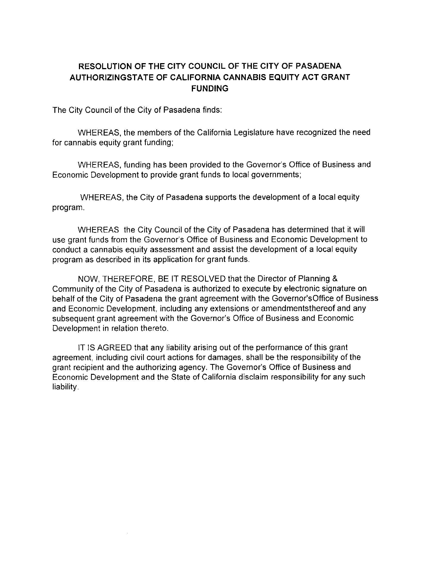## **RESOLUTION OF THE CITY COUNCIL OF THE CITY OF PASADENA AUTHORIZINGSTATE OF CALIFORNIA CANNABIS EQUITY ACT GRANT FUNDING**

The City Council of the City of Pasadena finds:

WHEREAS, the members of the California Legislature have recognized the need for cannabis equity grant funding;

WHEREAS, funding has been provided to the Governor's Office of Business and Economic Development to provide grant funds to local governments;

WHEREAS, the City of Pasadena supports the development of a local equity program.

WHEREAS the City Council of the City of Pasadena has determined that it will use grant funds from the Governor's Office of Business and Economic Development to conduct a cannabis equity assessment and assist the development of a local equity program as described in its application for grant funds.

NOW, THEREFORE, BE IT RESOLVED that the Director of Planning & Community of the City of Pasadena is authorized to execute by electronic signature on behalf of the City of Pasadena the grant agreement with the Governor'sOffice of Business and Economic Development, including any extensions or amendmentsthereof and any subsequent grant agreement with the Governor's Office of Business and Economic Development in relation thereto.

IT IS AGREED that any liability arising out of the performance of this grant agreement, including civil court actions for damages, shall be the responsibility of the grant recipient and the authorizing agency. The Governor's Office of Business and Economic Development and the State of California disclaim responsibility for any such liability.